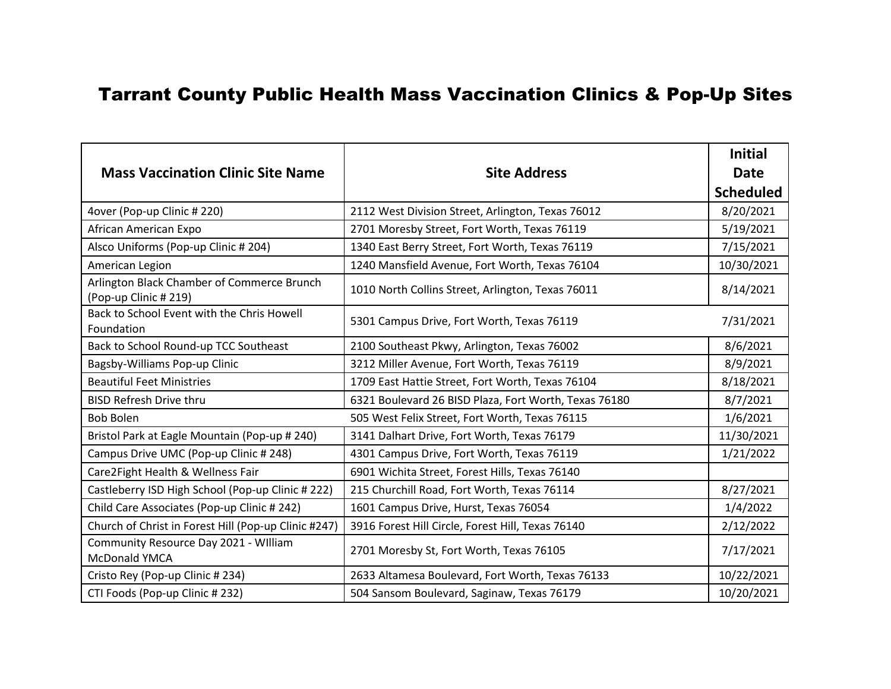## Tarrant County Public Health Mass Vaccination Clinics & Pop-Up Sites

|                                                                     |                                                       | <b>Initial</b>   |
|---------------------------------------------------------------------|-------------------------------------------------------|------------------|
| <b>Mass Vaccination Clinic Site Name</b>                            | <b>Site Address</b>                                   | <b>Date</b>      |
|                                                                     |                                                       | <b>Scheduled</b> |
| 4over (Pop-up Clinic # 220)                                         | 2112 West Division Street, Arlington, Texas 76012     | 8/20/2021        |
| African American Expo                                               | 2701 Moresby Street, Fort Worth, Texas 76119          | 5/19/2021        |
| Alsco Uniforms (Pop-up Clinic # 204)                                | 1340 East Berry Street, Fort Worth, Texas 76119       | 7/15/2021        |
| American Legion                                                     | 1240 Mansfield Avenue, Fort Worth, Texas 76104        | 10/30/2021       |
| Arlington Black Chamber of Commerce Brunch<br>(Pop-up Clinic # 219) | 1010 North Collins Street, Arlington, Texas 76011     | 8/14/2021        |
| Back to School Event with the Chris Howell<br>Foundation            | 5301 Campus Drive, Fort Worth, Texas 76119            | 7/31/2021        |
| Back to School Round-up TCC Southeast                               | 2100 Southeast Pkwy, Arlington, Texas 76002           | 8/6/2021         |
| Bagsby-Williams Pop-up Clinic                                       | 3212 Miller Avenue, Fort Worth, Texas 76119           | 8/9/2021         |
| <b>Beautiful Feet Ministries</b>                                    | 1709 East Hattie Street, Fort Worth, Texas 76104      | 8/18/2021        |
| <b>BISD Refresh Drive thru</b>                                      | 6321 Boulevard 26 BISD Plaza, Fort Worth, Texas 76180 | 8/7/2021         |
| <b>Bob Bolen</b>                                                    | 505 West Felix Street, Fort Worth, Texas 76115        | 1/6/2021         |
| Bristol Park at Eagle Mountain (Pop-up # 240)                       | 3141 Dalhart Drive, Fort Worth, Texas 76179           | 11/30/2021       |
| Campus Drive UMC (Pop-up Clinic # 248)                              | 4301 Campus Drive, Fort Worth, Texas 76119            | 1/21/2022        |
| Care2Fight Health & Wellness Fair                                   | 6901 Wichita Street, Forest Hills, Texas 76140        |                  |
| Castleberry ISD High School (Pop-up Clinic # 222)                   | 215 Churchill Road, Fort Worth, Texas 76114           | 8/27/2021        |
| Child Care Associates (Pop-up Clinic # 242)                         | 1601 Campus Drive, Hurst, Texas 76054                 | 1/4/2022         |
| Church of Christ in Forest Hill (Pop-up Clinic #247)                | 3916 Forest Hill Circle, Forest Hill, Texas 76140     | 2/12/2022        |
| Community Resource Day 2021 - William<br>McDonald YMCA              | 2701 Moresby St, Fort Worth, Texas 76105              | 7/17/2021        |
| Cristo Rey (Pop-up Clinic # 234)                                    | 2633 Altamesa Boulevard, Fort Worth, Texas 76133      | 10/22/2021       |
| CTI Foods (Pop-up Clinic #232)                                      | 504 Sansom Boulevard, Saginaw, Texas 76179            | 10/20/2021       |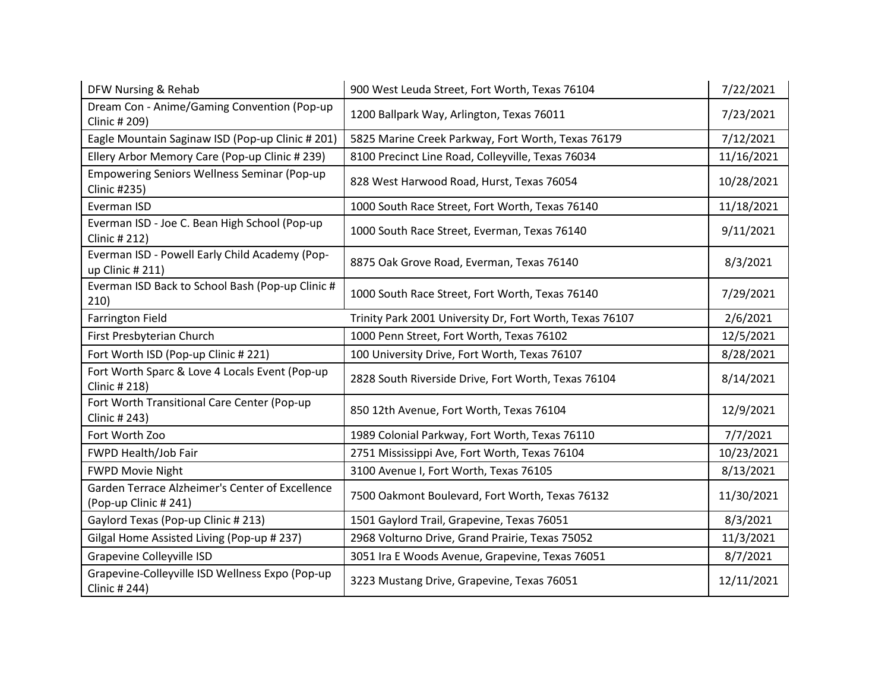| DFW Nursing & Rehab                                                     | 900 West Leuda Street, Fort Worth, Texas 76104           | 7/22/2021  |
|-------------------------------------------------------------------------|----------------------------------------------------------|------------|
| Dream Con - Anime/Gaming Convention (Pop-up<br>Clinic # 209)            | 1200 Ballpark Way, Arlington, Texas 76011                | 7/23/2021  |
| Eagle Mountain Saginaw ISD (Pop-up Clinic # 201)                        | 5825 Marine Creek Parkway, Fort Worth, Texas 76179       | 7/12/2021  |
| Ellery Arbor Memory Care (Pop-up Clinic # 239)                          | 8100 Precinct Line Road, Colleyville, Texas 76034        | 11/16/2021 |
| <b>Empowering Seniors Wellness Seminar (Pop-up</b><br>Clinic #235)      | 828 West Harwood Road, Hurst, Texas 76054                | 10/28/2021 |
| Everman ISD                                                             | 1000 South Race Street, Fort Worth, Texas 76140          | 11/18/2021 |
| Everman ISD - Joe C. Bean High School (Pop-up<br>Clinic # 212)          | 1000 South Race Street, Everman, Texas 76140             | 9/11/2021  |
| Everman ISD - Powell Early Child Academy (Pop-<br>up Clinic # 211)      | 8875 Oak Grove Road, Everman, Texas 76140                | 8/3/2021   |
| Everman ISD Back to School Bash (Pop-up Clinic #<br>210)                | 1000 South Race Street, Fort Worth, Texas 76140          | 7/29/2021  |
| <b>Farrington Field</b>                                                 | Trinity Park 2001 University Dr, Fort Worth, Texas 76107 | 2/6/2021   |
| First Presbyterian Church                                               | 1000 Penn Street, Fort Worth, Texas 76102                | 12/5/2021  |
| Fort Worth ISD (Pop-up Clinic # 221)                                    | 100 University Drive, Fort Worth, Texas 76107            | 8/28/2021  |
| Fort Worth Sparc & Love 4 Locals Event (Pop-up<br>Clinic # 218)         | 2828 South Riverside Drive, Fort Worth, Texas 76104      | 8/14/2021  |
| Fort Worth Transitional Care Center (Pop-up<br>Clinic # 243)            | 850 12th Avenue, Fort Worth, Texas 76104                 | 12/9/2021  |
| Fort Worth Zoo                                                          | 1989 Colonial Parkway, Fort Worth, Texas 76110           | 7/7/2021   |
| FWPD Health/Job Fair                                                    | 2751 Mississippi Ave, Fort Worth, Texas 76104            | 10/23/2021 |
| <b>FWPD Movie Night</b>                                                 | 3100 Avenue I, Fort Worth, Texas 76105                   | 8/13/2021  |
| Garden Terrace Alzheimer's Center of Excellence<br>(Pop-up Clinic #241) | 7500 Oakmont Boulevard, Fort Worth, Texas 76132          | 11/30/2021 |
| Gaylord Texas (Pop-up Clinic # 213)                                     | 1501 Gaylord Trail, Grapevine, Texas 76051               | 8/3/2021   |
| Gilgal Home Assisted Living (Pop-up # 237)                              | 2968 Volturno Drive, Grand Prairie, Texas 75052          | 11/3/2021  |
| Grapevine Colleyville ISD                                               | 3051 Ira E Woods Avenue, Grapevine, Texas 76051          | 8/7/2021   |
| Grapevine-Colleyville ISD Wellness Expo (Pop-up<br>Clinic # 244)        | 3223 Mustang Drive, Grapevine, Texas 76051               | 12/11/2021 |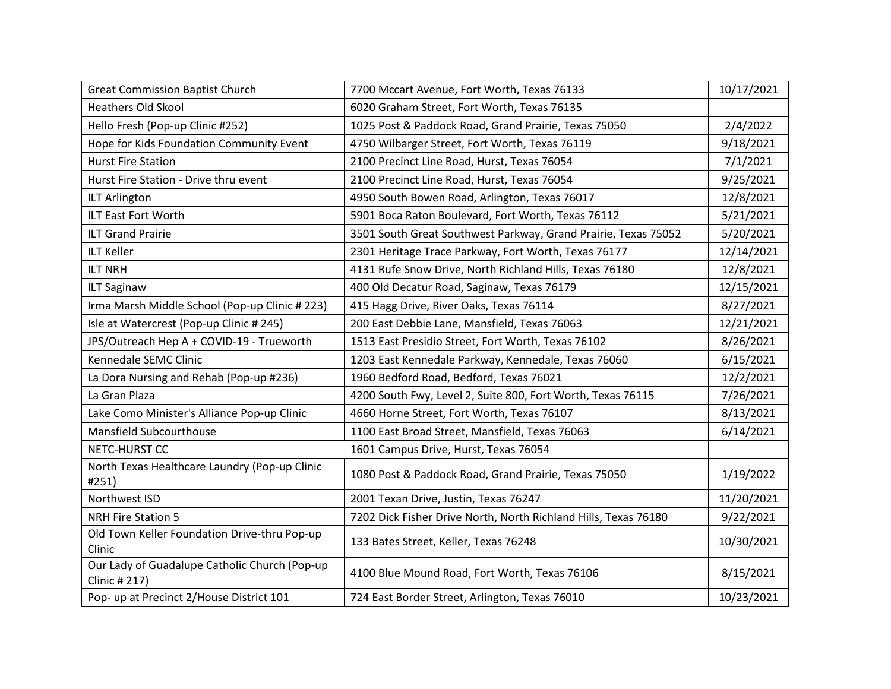| <b>Great Commission Baptist Church</b>                         | 7700 Mccart Avenue, Fort Worth, Texas 76133                     | 10/17/2021 |
|----------------------------------------------------------------|-----------------------------------------------------------------|------------|
| <b>Heathers Old Skool</b>                                      | 6020 Graham Street, Fort Worth, Texas 76135                     |            |
| Hello Fresh (Pop-up Clinic #252)                               | 1025 Post & Paddock Road, Grand Prairie, Texas 75050            | 2/4/2022   |
| Hope for Kids Foundation Community Event                       | 4750 Wilbarger Street, Fort Worth, Texas 76119                  | 9/18/2021  |
| <b>Hurst Fire Station</b>                                      | 2100 Precinct Line Road, Hurst, Texas 76054                     | 7/1/2021   |
| Hurst Fire Station - Drive thru event                          | 2100 Precinct Line Road, Hurst, Texas 76054                     | 9/25/2021  |
| <b>ILT Arlington</b>                                           | 4950 South Bowen Road, Arlington, Texas 76017                   | 12/8/2021  |
| ILT East Fort Worth                                            | 5901 Boca Raton Boulevard, Fort Worth, Texas 76112              | 5/21/2021  |
| <b>ILT Grand Prairie</b>                                       | 3501 South Great Southwest Parkway, Grand Prairie, Texas 75052  | 5/20/2021  |
| <b>ILT Keller</b>                                              | 2301 Heritage Trace Parkway, Fort Worth, Texas 76177            | 12/14/2021 |
| <b>ILT NRH</b>                                                 | 4131 Rufe Snow Drive, North Richland Hills, Texas 76180         | 12/8/2021  |
| <b>ILT Saginaw</b>                                             | 400 Old Decatur Road, Saginaw, Texas 76179                      | 12/15/2021 |
| Irma Marsh Middle School (Pop-up Clinic # 223)                 | 415 Hagg Drive, River Oaks, Texas 76114                         | 8/27/2021  |
| Isle at Watercrest (Pop-up Clinic # 245)                       | 200 East Debbie Lane, Mansfield, Texas 76063                    | 12/21/2021 |
| JPS/Outreach Hep A + COVID-19 - Trueworth                      | 1513 East Presidio Street, Fort Worth, Texas 76102              | 8/26/2021  |
| Kennedale SEMC Clinic                                          | 1203 East Kennedale Parkway, Kennedale, Texas 76060             | 6/15/2021  |
| La Dora Nursing and Rehab (Pop-up #236)                        | 1960 Bedford Road, Bedford, Texas 76021                         | 12/2/2021  |
| La Gran Plaza                                                  | 4200 South Fwy, Level 2, Suite 800, Fort Worth, Texas 76115     | 7/26/2021  |
| Lake Como Minister's Alliance Pop-up Clinic                    | 4660 Horne Street, Fort Worth, Texas 76107                      | 8/13/2021  |
| Mansfield Subcourthouse                                        | 1100 East Broad Street, Mansfield, Texas 76063                  | 6/14/2021  |
| NETC-HURST CC                                                  | 1601 Campus Drive, Hurst, Texas 76054                           |            |
| North Texas Healthcare Laundry (Pop-up Clinic<br>#251)         | 1080 Post & Paddock Road, Grand Prairie, Texas 75050            | 1/19/2022  |
| Northwest ISD                                                  | 2001 Texan Drive, Justin, Texas 76247                           | 11/20/2021 |
| <b>NRH Fire Station 5</b>                                      | 7202 Dick Fisher Drive North, North Richland Hills, Texas 76180 | 9/22/2021  |
| Old Town Keller Foundation Drive-thru Pop-up<br>Clinic         | 133 Bates Street, Keller, Texas 76248                           | 10/30/2021 |
| Our Lady of Guadalupe Catholic Church (Pop-up<br>Clinic # 217) | 4100 Blue Mound Road, Fort Worth, Texas 76106                   | 8/15/2021  |
| Pop- up at Precinct 2/House District 101                       | 724 East Border Street, Arlington, Texas 76010                  | 10/23/2021 |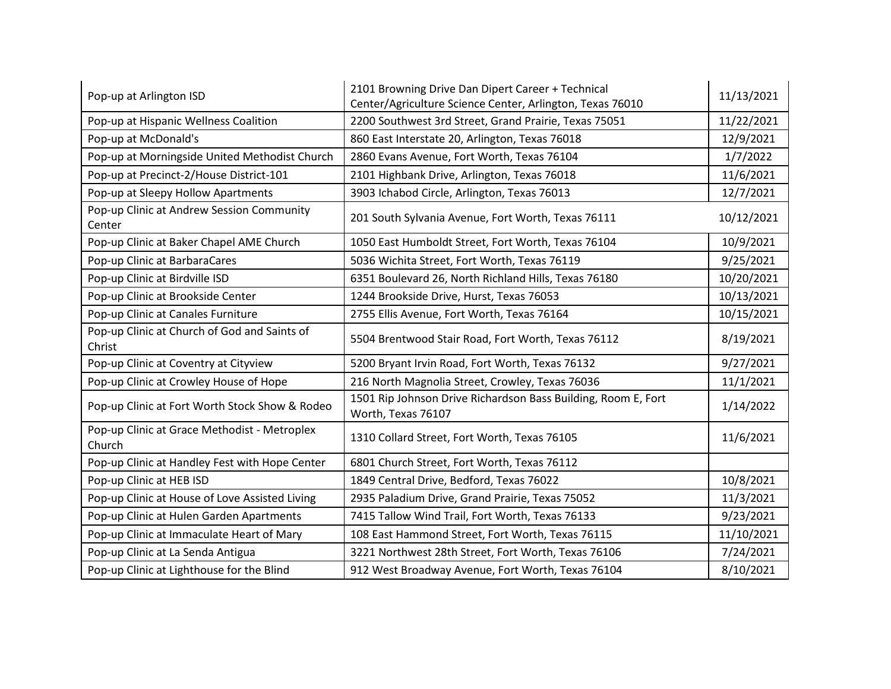| Pop-up at Arlington ISD                                | 2101 Browning Drive Dan Dipert Career + Technical<br>Center/Agriculture Science Center, Arlington, Texas 76010 | 11/13/2021 |
|--------------------------------------------------------|----------------------------------------------------------------------------------------------------------------|------------|
| Pop-up at Hispanic Wellness Coalition                  | 2200 Southwest 3rd Street, Grand Prairie, Texas 75051                                                          | 11/22/2021 |
| Pop-up at McDonald's                                   | 860 East Interstate 20, Arlington, Texas 76018                                                                 | 12/9/2021  |
| Pop-up at Morningside United Methodist Church          | 2860 Evans Avenue, Fort Worth, Texas 76104                                                                     | 1/7/2022   |
| Pop-up at Precinct-2/House District-101                | 2101 Highbank Drive, Arlington, Texas 76018                                                                    | 11/6/2021  |
| Pop-up at Sleepy Hollow Apartments                     | 3903 Ichabod Circle, Arlington, Texas 76013                                                                    | 12/7/2021  |
| Pop-up Clinic at Andrew Session Community<br>Center    | 201 South Sylvania Avenue, Fort Worth, Texas 76111                                                             | 10/12/2021 |
| Pop-up Clinic at Baker Chapel AME Church               | 1050 East Humboldt Street, Fort Worth, Texas 76104                                                             | 10/9/2021  |
| Pop-up Clinic at BarbaraCares                          | 5036 Wichita Street, Fort Worth, Texas 76119                                                                   | 9/25/2021  |
| Pop-up Clinic at Birdville ISD                         | 6351 Boulevard 26, North Richland Hills, Texas 76180                                                           | 10/20/2021 |
| Pop-up Clinic at Brookside Center                      | 1244 Brookside Drive, Hurst, Texas 76053                                                                       | 10/13/2021 |
| Pop-up Clinic at Canales Furniture                     | 2755 Ellis Avenue, Fort Worth, Texas 76164                                                                     | 10/15/2021 |
| Pop-up Clinic at Church of God and Saints of<br>Christ | 5504 Brentwood Stair Road, Fort Worth, Texas 76112                                                             | 8/19/2021  |
| Pop-up Clinic at Coventry at Cityview                  | 5200 Bryant Irvin Road, Fort Worth, Texas 76132                                                                | 9/27/2021  |
| Pop-up Clinic at Crowley House of Hope                 | 216 North Magnolia Street, Crowley, Texas 76036                                                                | 11/1/2021  |
| Pop-up Clinic at Fort Worth Stock Show & Rodeo         | 1501 Rip Johnson Drive Richardson Bass Building, Room E, Fort<br>Worth, Texas 76107                            | 1/14/2022  |
| Pop-up Clinic at Grace Methodist - Metroplex<br>Church | 1310 Collard Street, Fort Worth, Texas 76105                                                                   | 11/6/2021  |
| Pop-up Clinic at Handley Fest with Hope Center         | 6801 Church Street, Fort Worth, Texas 76112                                                                    |            |
| Pop-up Clinic at HEB ISD                               | 1849 Central Drive, Bedford, Texas 76022                                                                       | 10/8/2021  |
| Pop-up Clinic at House of Love Assisted Living         | 2935 Paladium Drive, Grand Prairie, Texas 75052                                                                | 11/3/2021  |
| Pop-up Clinic at Hulen Garden Apartments               | 7415 Tallow Wind Trail, Fort Worth, Texas 76133                                                                | 9/23/2021  |
| Pop-up Clinic at Immaculate Heart of Mary              | 108 East Hammond Street, Fort Worth, Texas 76115                                                               | 11/10/2021 |
| Pop-up Clinic at La Senda Antigua                      | 3221 Northwest 28th Street, Fort Worth, Texas 76106                                                            | 7/24/2021  |
| Pop-up Clinic at Lighthouse for the Blind              | 912 West Broadway Avenue, Fort Worth, Texas 76104                                                              | 8/10/2021  |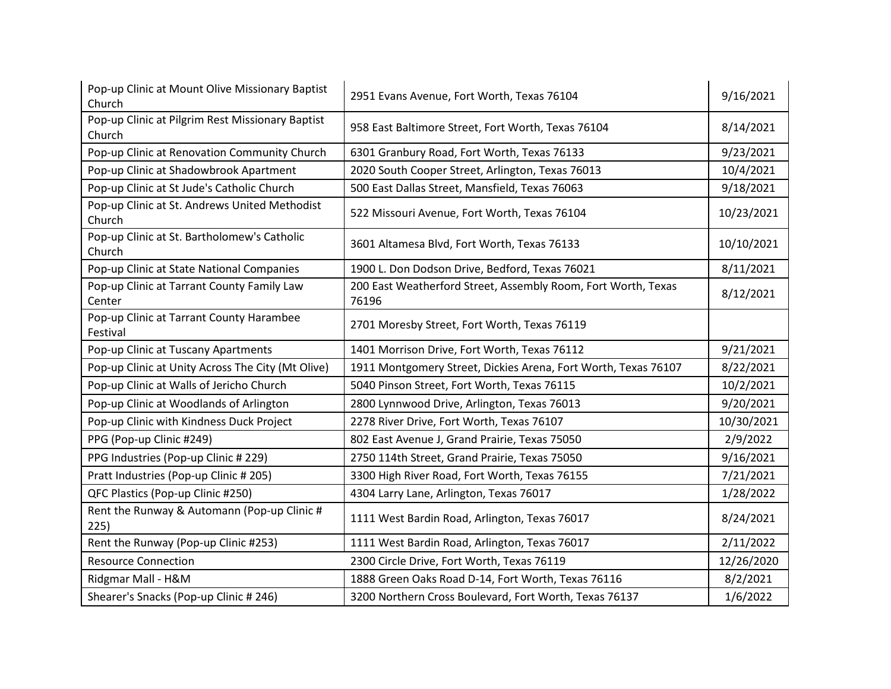| Pop-up Clinic at Mount Olive Missionary Baptist<br>Church  | 2951 Evans Avenue, Fort Worth, Texas 76104                             | 9/16/2021  |
|------------------------------------------------------------|------------------------------------------------------------------------|------------|
| Pop-up Clinic at Pilgrim Rest Missionary Baptist<br>Church | 958 East Baltimore Street, Fort Worth, Texas 76104                     | 8/14/2021  |
| Pop-up Clinic at Renovation Community Church               | 6301 Granbury Road, Fort Worth, Texas 76133                            | 9/23/2021  |
| Pop-up Clinic at Shadowbrook Apartment                     | 2020 South Cooper Street, Arlington, Texas 76013                       | 10/4/2021  |
| Pop-up Clinic at St Jude's Catholic Church                 | 500 East Dallas Street, Mansfield, Texas 76063                         | 9/18/2021  |
| Pop-up Clinic at St. Andrews United Methodist<br>Church    | 522 Missouri Avenue, Fort Worth, Texas 76104                           | 10/23/2021 |
| Pop-up Clinic at St. Bartholomew's Catholic<br>Church      | 3601 Altamesa Blvd, Fort Worth, Texas 76133                            | 10/10/2021 |
| Pop-up Clinic at State National Companies                  | 1900 L. Don Dodson Drive, Bedford, Texas 76021                         | 8/11/2021  |
| Pop-up Clinic at Tarrant County Family Law<br>Center       | 200 East Weatherford Street, Assembly Room, Fort Worth, Texas<br>76196 | 8/12/2021  |
| Pop-up Clinic at Tarrant County Harambee<br>Festival       | 2701 Moresby Street, Fort Worth, Texas 76119                           |            |
| Pop-up Clinic at Tuscany Apartments                        | 1401 Morrison Drive, Fort Worth, Texas 76112                           | 9/21/2021  |
| Pop-up Clinic at Unity Across The City (Mt Olive)          | 1911 Montgomery Street, Dickies Arena, Fort Worth, Texas 76107         | 8/22/2021  |
| Pop-up Clinic at Walls of Jericho Church                   | 5040 Pinson Street, Fort Worth, Texas 76115                            | 10/2/2021  |
| Pop-up Clinic at Woodlands of Arlington                    | 2800 Lynnwood Drive, Arlington, Texas 76013                            | 9/20/2021  |
| Pop-up Clinic with Kindness Duck Project                   | 2278 River Drive, Fort Worth, Texas 76107                              | 10/30/2021 |
| PPG (Pop-up Clinic #249)                                   | 802 East Avenue J, Grand Prairie, Texas 75050                          | 2/9/2022   |
| PPG Industries (Pop-up Clinic # 229)                       | 2750 114th Street, Grand Prairie, Texas 75050                          | 9/16/2021  |
| Pratt Industries (Pop-up Clinic # 205)                     | 3300 High River Road, Fort Worth, Texas 76155                          | 7/21/2021  |
| QFC Plastics (Pop-up Clinic #250)                          | 4304 Larry Lane, Arlington, Texas 76017                                | 1/28/2022  |
| Rent the Runway & Automann (Pop-up Clinic #<br>225)        | 1111 West Bardin Road, Arlington, Texas 76017                          | 8/24/2021  |
| Rent the Runway (Pop-up Clinic #253)                       | 1111 West Bardin Road, Arlington, Texas 76017                          | 2/11/2022  |
| <b>Resource Connection</b>                                 | 2300 Circle Drive, Fort Worth, Texas 76119                             | 12/26/2020 |
| Ridgmar Mall - H&M                                         | 1888 Green Oaks Road D-14, Fort Worth, Texas 76116                     | 8/2/2021   |
| Shearer's Snacks (Pop-up Clinic # 246)                     | 3200 Northern Cross Boulevard, Fort Worth, Texas 76137                 | 1/6/2022   |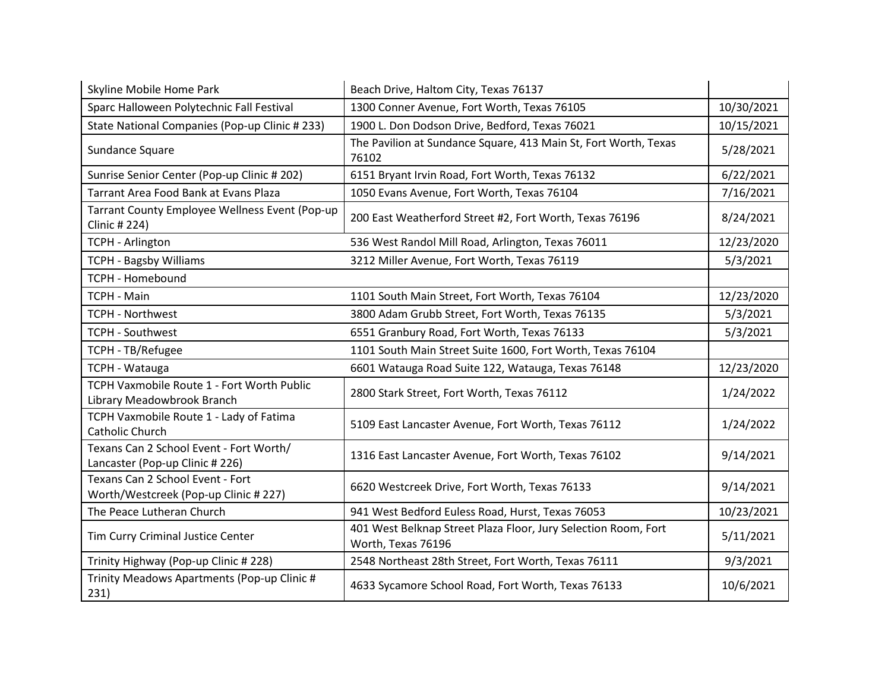| Skyline Mobile Home Park                                                   | Beach Drive, Haltom City, Texas 76137                                                |            |
|----------------------------------------------------------------------------|--------------------------------------------------------------------------------------|------------|
| Sparc Halloween Polytechnic Fall Festival                                  | 1300 Conner Avenue, Fort Worth, Texas 76105                                          | 10/30/2021 |
| State National Companies (Pop-up Clinic # 233)                             | 1900 L. Don Dodson Drive, Bedford, Texas 76021                                       | 10/15/2021 |
| Sundance Square                                                            | The Pavilion at Sundance Square, 413 Main St, Fort Worth, Texas<br>76102             | 5/28/2021  |
| Sunrise Senior Center (Pop-up Clinic # 202)                                | 6151 Bryant Irvin Road, Fort Worth, Texas 76132                                      | 6/22/2021  |
| <b>Tarrant Area Food Bank at Evans Plaza</b>                               | 1050 Evans Avenue, Fort Worth, Texas 76104                                           | 7/16/2021  |
| Tarrant County Employee Wellness Event (Pop-up<br>Clinic # 224)            | 200 East Weatherford Street #2, Fort Worth, Texas 76196                              | 8/24/2021  |
| <b>TCPH - Arlington</b>                                                    | 536 West Randol Mill Road, Arlington, Texas 76011                                    | 12/23/2020 |
| <b>TCPH - Bagsby Williams</b>                                              | 3212 Miller Avenue, Fort Worth, Texas 76119                                          | 5/3/2021   |
| <b>TCPH - Homebound</b>                                                    |                                                                                      |            |
| <b>TCPH - Main</b>                                                         | 1101 South Main Street, Fort Worth, Texas 76104                                      | 12/23/2020 |
| <b>TCPH - Northwest</b>                                                    | 3800 Adam Grubb Street, Fort Worth, Texas 76135                                      | 5/3/2021   |
| <b>TCPH - Southwest</b>                                                    | 6551 Granbury Road, Fort Worth, Texas 76133                                          | 5/3/2021   |
| TCPH - TB/Refugee                                                          | 1101 South Main Street Suite 1600, Fort Worth, Texas 76104                           |            |
| <b>TCPH - Watauga</b>                                                      | 6601 Watauga Road Suite 122, Watauga, Texas 76148                                    | 12/23/2020 |
| TCPH Vaxmobile Route 1 - Fort Worth Public<br>Library Meadowbrook Branch   | 2800 Stark Street, Fort Worth, Texas 76112                                           | 1/24/2022  |
| TCPH Vaxmobile Route 1 - Lady of Fatima<br>Catholic Church                 | 5109 East Lancaster Avenue, Fort Worth, Texas 76112                                  | 1/24/2022  |
| Texans Can 2 School Event - Fort Worth/<br>Lancaster (Pop-up Clinic # 226) | 1316 East Lancaster Avenue, Fort Worth, Texas 76102                                  | 9/14/2021  |
| Texans Can 2 School Event - Fort<br>Worth/Westcreek (Pop-up Clinic # 227)  | 6620 Westcreek Drive, Fort Worth, Texas 76133                                        | 9/14/2021  |
| The Peace Lutheran Church                                                  | 941 West Bedford Euless Road, Hurst, Texas 76053                                     | 10/23/2021 |
| Tim Curry Criminal Justice Center                                          | 401 West Belknap Street Plaza Floor, Jury Selection Room, Fort<br>Worth, Texas 76196 | 5/11/2021  |
| Trinity Highway (Pop-up Clinic # 228)                                      | 2548 Northeast 28th Street, Fort Worth, Texas 76111                                  | 9/3/2021   |
| Trinity Meadows Apartments (Pop-up Clinic #<br>231)                        | 4633 Sycamore School Road, Fort Worth, Texas 76133                                   | 10/6/2021  |